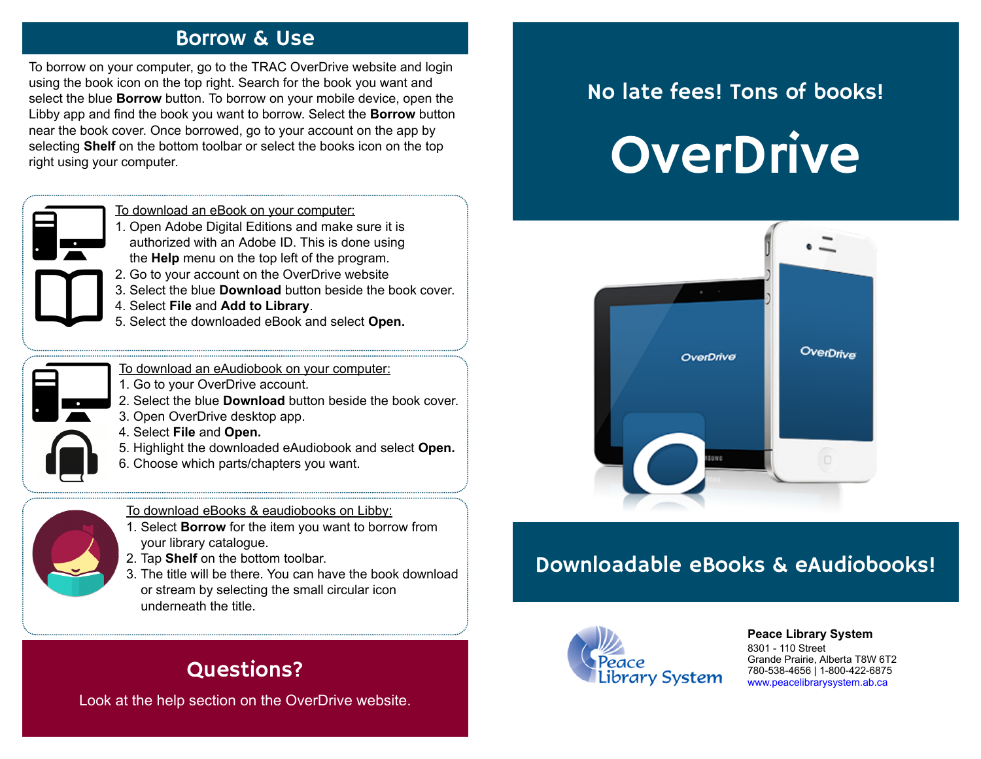#### Borrow & Use

To borrow on your computer, go to the TRAC OverDrive website and login using the book icon on the top right. Search for the book you want and select the blue **Borrow** button. To borrow on your mobile device, open the Libby app and find the book you want to borrow. Select the **Borrow** button near the book cover. Once borrowed, go to your account on the app by selecting **Shelf** on the bottom toolbar or select the books icon on the top right using your computer.

| To download an eBook on your computer: |  |  |  |
|----------------------------------------|--|--|--|
|                                        |  |  |  |

- 1. Open Adobe Digital Editions and make sure it is authorized with an Adobe ID. This is done using the **Help** menu on the top left of the program.
- 2. Go to your account on the OverDrive website
- 3. Select the blue **Download** button beside the book cover.
- 4. Select **File** and **Add to Library**.
- 5. Select the downloaded eBook and select **Open.**
- To download an eAudiobook on your computer:
- 1. Go to your OverDrive account.
- 2. Select the blue **Download** button beside the book cover.
- 3. Open OverDrive desktop app.
- 4. Select **File** and **Open.**
- 5. Highlight the downloaded eAudiobook and select **Open.**
- 6. Choose which parts/chapters you want.

To download eBooks & eaudiobooks on Libby:

- 1. Select **Borrow** for the item you want to borrow from your library catalogue.
- 2. Tap **Shelf** on the bottom toolbar.
- 3. The title will be there. You can have the book download or stream by selecting the small circular icon underneath the title.

### Questions?

Look at the help section on the OverDrive website.

## No late fees! Tons of books!





### Downloadable eBooks & eAudiobooks!



**[P](http://4la.co/1KCGM2)eace Library System** [8](http://4la.co/1KCGM2)301 - 110 Street Grande Prairie, Alberta T8W 6T2 780-538-4656 | 1-800-422-6875 [www.peacelibrarysystem.ab.ca](http://4la.co/1KCGM2)